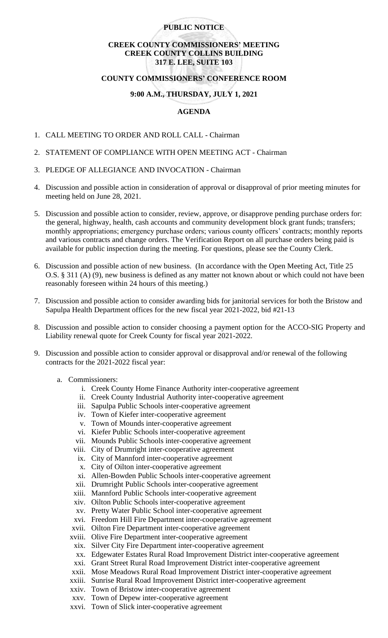## **PUBLIC NOTICE**

# **CREEK COUNTY COMMISSIONERS' MEETING CREEK COUNTY COLLINS BUILDING 317 E. LEE, SUITE 103**

### **COUNTY COMMISSIONERS' CONFERENCE ROOM**

### **9:00 A.M., THURSDAY, JULY 1, 2021**

### **AGENDA**

- 1. CALL MEETING TO ORDER AND ROLL CALL Chairman
- 2. STATEMENT OF COMPLIANCE WITH OPEN MEETING ACT Chairman
- 3. PLEDGE OF ALLEGIANCE AND INVOCATION Chairman
- 4. Discussion and possible action in consideration of approval or disapproval of prior meeting minutes for meeting held on June 28, 2021.
- 5. Discussion and possible action to consider, review, approve, or disapprove pending purchase orders for: the general, highway, health, cash accounts and community development block grant funds; transfers; monthly appropriations; emergency purchase orders; various county officers' contracts; monthly reports and various contracts and change orders. The Verification Report on all purchase orders being paid is available for public inspection during the meeting. For questions, please see the County Clerk.
- 6. Discussion and possible action of new business. (In accordance with the Open Meeting Act, Title 25 O.S. § 311 (A) (9), new business is defined as any matter not known about or which could not have been reasonably foreseen within 24 hours of this meeting.)
- 7. Discussion and possible action to consider awarding bids for janitorial services for both the Bristow and Sapulpa Health Department offices for the new fiscal year 2021-2022, bid #21-13
- 8. Discussion and possible action to consider choosing a payment option for the ACCO-SIG Property and Liability renewal quote for Creek County for fiscal year 2021-2022.
- 9. Discussion and possible action to consider approval or disapproval and/or renewal of the following contracts for the 2021-2022 fiscal year:
	- a. Commissioners:
		- i. Creek County Home Finance Authority inter-cooperative agreement
		- ii. Creek County Industrial Authority inter-cooperative agreement
		- iii. Sapulpa Public Schools inter-cooperative agreement
		- iv. Town of Kiefer inter-cooperative agreement
		- v. Town of Mounds inter-cooperative agreement
		- vi. Kiefer Public Schools inter-cooperative agreement
		- vii. Mounds Public Schools inter-cooperative agreement
		- viii. City of Drumright inter-cooperative agreement
		- ix. City of Mannford inter-cooperative agreement
		- x. City of Oilton inter-cooperative agreement
		- xi. Allen-Bowden Public Schools inter-cooperative agreement
		- xii. Drumright Public Schools inter-cooperative agreement
		- xiii. Mannford Public Schools inter-cooperative agreement
		- xiv. Oilton Public Schools inter-cooperative agreement
		- xv. Pretty Water Public School inter-cooperative agreement
		- xvi. Freedom Hill Fire Department inter-cooperative agreement
		- xvii. Oilton Fire Department inter-cooperative agreement
		- xviii. Olive Fire Department inter-cooperative agreement
		- xix. Silver City Fire Department inter-cooperative agreement
		- xx. Edgewater Estates Rural Road Improvement District inter-cooperative agreement
		- xxi. Grant Street Rural Road Improvement District inter-cooperative agreement
		- xxii. Mose Meadows Rural Road Improvement District inter-cooperative agreement
		- xxiii. Sunrise Rural Road Improvement District inter-cooperative agreement
		- xxiv. Town of Bristow inter-cooperative agreement
		- xxv. Town of Depew inter-cooperative agreement
		- xxvi. Town of Slick inter-cooperative agreement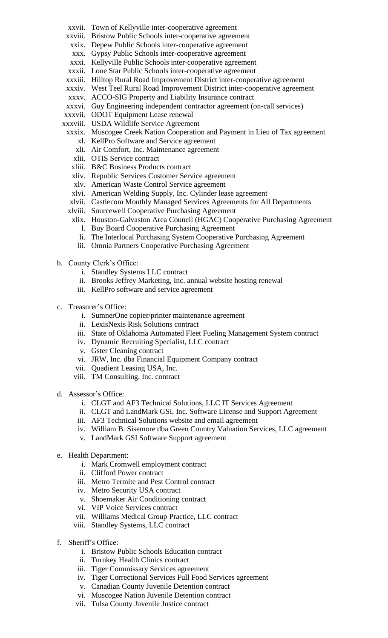- xxvii. Town of Kellyville inter-cooperative agreement
- xxviii. Bristow Public Schools inter-cooperative agreement
- xxix. Depew Public Schools inter-cooperative agreement
- xxx. Gypsy Public Schools inter-cooperative agreement
- xxxi. Kellyville Public Schools inter-cooperative agreement
- xxxii. Lone Star Public Schools inter-cooperative agreement
- xxxiii. Hilltop Rural Road Improvement District inter-cooperative agreement
- xxxiv. West Teel Rural Road Improvement District inter-cooperative agreement
- xxxv. ACCO-SIG Property and Liability Insurance contract
- xxxvi. Guy Engineering independent contractor agreement (on-call services)
- xxxvii. ODOT Equipment Lease renewal
- xxxviii. USDA Wildlife Service Agreement
- xxxix. Muscogee Creek Nation Cooperation and Payment in Lieu of Tax agreement xl. KellPro Software and Service agreement
	- xli. Air Comfort, Inc. Maintenance agreement
	- xlii. OTIS Service contract
	- xliii. B&C Business Products contract
	- xliv. Republic Services Customer Service agreement
	- xlv. American Waste Control Service agreement
- xlvi. American Welding Supply, Inc. Cylinder lease agreement
- xlvii. Castlecom Monthly Managed Services Agreements for All Departments
- xlviii. Sourcewell Cooperative Purchasing Agreement
	- xlix. Houston-Galvaston Area Council (HGAC) Cooperative Purchasing Agreement
	- l. Buy Board Cooperative Purchasing Agreement
	- li. The Interlocal Purchasing System Cooperative Purchasing Agreement
	- lii. Omnia Partners Cooperative Purchasing Agreement
- b. County Clerk's Office:
	- i. Standley Systems LLC contract
	- ii. Brooks Jeffrey Marketing, Inc. annual website hosting renewal
	- iii. KellPro software and service agreement
- c. Treasurer's Office:
	- i. SumnerOne copier/printer maintenance agreement
	- ii. LexisNexis Risk Solutions contract
	- iii. State of Oklahoma Automated Fleet Fueling Management System contract
	- iv. Dynamic Recruiting Specialist, LLC contract
	- v. Gster Cleaning contract
	- vi. JRW, Inc. dba Financial Equipment Company contract
	- vii. Quadient Leasing USA, Inc.
	- viii. TM Consulting, Inc. contract
- d. Assessor's Office:
	- i. CLGT and AF3 Technical Solutions, LLC IT Services Agreement
	- ii. CLGT and LandMark GSI, Inc. Software License and Support Agreement
	- iii. AF3 Technical Solutions website and email agreement
	- iv. William B. Sisemore dba Green Country Valuation Services, LLC agreement
	- v. LandMark GSI Software Support agreement
- e. Health Department:
	- i. Mark Cromwell employment contract
	- ii. Clifford Power contract
	- iii. Metro Termite and Pest Control contract
	- iv. Metro Security USA contract
	- v. Shoemaker Air Conditioning contract
	- vi. VIP Voice Services contract
	- vii. Williams Medical Group Practice, LLC contract
	- viii. Standley Systems, LLC contract
- f. Sheriff's Office:
	- i. Bristow Public Schools Education contract
	- ii. Turnkey Health Clinics contract
	- iii. Tiger Commissary Services agreement
	- iv. Tiger Correctional Services Full Food Services agreement
	- v. Canadian County Juvenile Detention contract
	- vi. Muscogee Nation Juvenile Detention contract
	- vii. Tulsa County Juvenile Justice contract